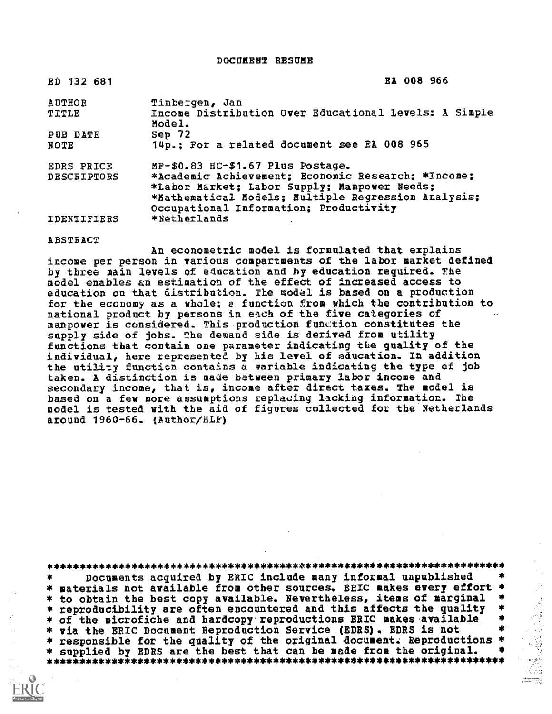DoCUMENT RESUME

| ED 132 681                              | EA 008 966                                                                                                                                                                                                                               |
|-----------------------------------------|------------------------------------------------------------------------------------------------------------------------------------------------------------------------------------------------------------------------------------------|
| <b>AUTHOR</b><br>TITLE                  | Tinbergen, Jan<br>Income Distribution Over Educational Levels: A Simple<br>Model.                                                                                                                                                        |
| PUB DATE<br>NOTE                        | Sep 72<br>14p.; For a related document see EA 008 965                                                                                                                                                                                    |
| <b>EDRS PRICE</b><br><b>DESCRIPTORS</b> | MF-\$0.83 HC-\$1.67 Plus Postage.<br>*Academic Achievement; Economic Research; *Income;<br>*Labor Market; Labor Supply; Manpower Needs;<br>*Mathematical Models; Multiple Regression Analysis;<br>Occupational Information; Productivity |
| IDENTIFIERS                             | *Netherlands                                                                                                                                                                                                                             |

ABSTRACT

An econometric model is formulated that explains income per person in various compartments of the labor market defined by three main levels of education and by education required. The model enables an estimation of the effect of increased access to education on that distribution. The model is based on a production for the economy as a whole; a function from which the contribution to national product by persons in each of the five categories of manpower is considered. This-production function constitutes the supply side of jobs. The demand eide is derived from utility functions that contain one parameter indicating the quality of\_the individual, here represented by his level of education. In addition the utility functicn contains a variable indicating the type of job taken. A distinction is made between primary labor income and secondary income, that is, income after direct taxes. The model is based on a few more assumptions replacing lacking information. The model is tested with the aid of figures collected for the Netherlands around 1960-66. (Author/HLF)

4\*\*\*\*\*\*\*\*\*A4\*\*\*\*\*\*\*\*\*\*\*\*\*\*\*\*\*\*\*\*\*\*\*\*\*\*\*\*\*\*\*\*\*\*\*\*# \*\*2001444\*\*\*114\*\*\*

Documents acquired by ERIC include many informal unpublished \* materials not available from other sources. ERIC makes every effort \*<br>\* to obtain the best copy available. Nevertheless, items of marginal \*<br>\* reproducibility are often encountered and this affects the quality \*<br>\* of the \* to obtain the best copy available. Nevertheless, items of marginal \*<br>\* reproducibility are often encountered and this affects the quality \* \* reproducibility are often encountered and this affects the quality \* \* of the microfiche and hardcopy reproductions ERIC makes available . \*<br>\* via the ERIC Document Reproduction Service (EDRS). EDRS is not . \* \* responsible for the quality of the original document. Reproductions \*<br>\* supplied by EDRS are the best that can be made from the original. \* \* supplied by EDRS are the best that can be made from the original. \* \*\*\*\*\*\*\*\*\*\*\*\*\*\*\*\*\*\*\*\*\*\*\*\*\*\*\*\*\*\*\*\*\*\*\*\* \*\*\*\*\*\*\*\*\*\*\*\*\*\*\*\*\*\*\*\*\*\*\*\*\*\*\*\*\*\*\*\*\*\*

integrammente)<br>Constantinople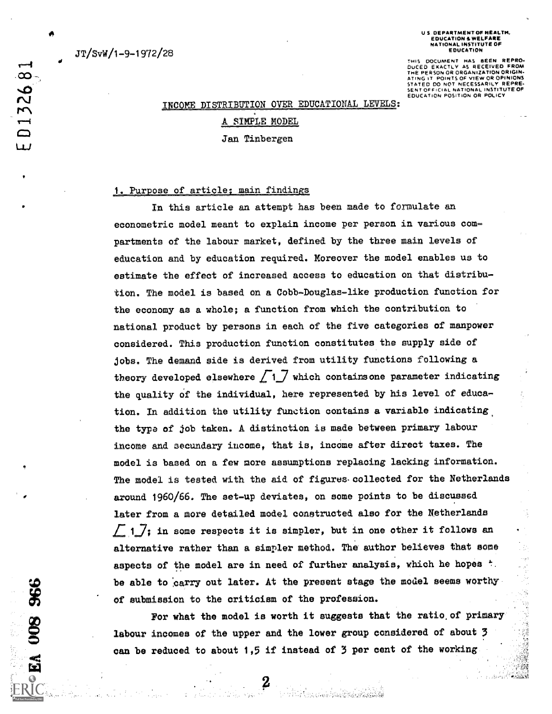JT/SvW/1-9-1972/2S

#### U S. DEPARTMENT OF HEALTH. EDUCATION A WELFARE NATIONAL INSTITUTE OF EDUCATION

THIS DOCUMENT HAS BEEN REPRO-DUCED EXACTLY AS RECEIVED FROM THE PERSON OR ORGANIZATION ORIGIN-ATING IT POINTS OF VIEW OR OPINIONS STATED DO NOT NECESSARILY REPRE-<br>SENT OFFICIAL NATIONAL INSTITUTE OF EDUCATION POSITION OR POLICY

不稳定

#### INCOME DISTRIBUTION OVER EDUCATIONAL LEVELS:

# SIMPLE MODEL Jan Tinbergen

#### 1. Purpose of article, main findings

In this article an attempt has been made to formulate an econometric model meant to explain income per person in various compartments of the labour market, defined by the three main levels of education and by education required. Moreover the model enables us to estimate the effect of increased access to education on that distribution. The model is based on a Cobb-Douglas-like production function for the economy as a whole; a function from which the contribution to national product by persons in each of the five categories of manpower considered. This production function constitutes the supply side of jobs. The demand side is derived from utility functions following a theory developed elsewhere  $\boxed{1}$  which contains one parameter indicating the quality of the individual, here represented by his level of education. In addition the utility function contains a variable indicating the type of job taken. A distinction is made between primary labour income and secundary income, that is, income after direct taxes. The model is based on a few more assumptions replacing lacking information. The model is tested with the aid of figures-colleeted for the Netherlands around 1960/66. The set-up deviates, on some points to be discussed later from a more detailed model constructed also for the Netherlands  $\perp$  1  $\perp$ ; in some respects it is simpler, but in one other it follows an alternative rather than a simpler method. The author believes that some aspects of the model are in need of further analysis, which he hopes  $\dot{\tau}$ . of submission to the criticism of the profession.

be able to carry out later. At the present stage the model seems worthy<br>of submission to the criticism of the profession.<br>For what the model is worth it suggests that the ratio of primary<br>labour incomes of the upper and th For what the model is worth it suggests that the ratio.of primary labour incomes of the upper and the lower group considered of about 3 can be reduced to about 1,5 if instead of 3 per cent of the working

D132681

ىيا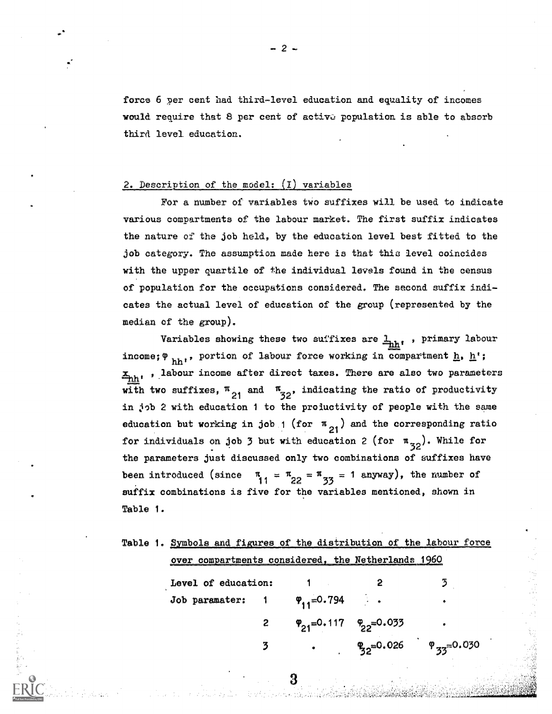force 6 per cent had third-level education and equality of incomes would require that 8 per cent of active population is able to absorb third level. education.

## 2. Description of the model: (1) variables

For a number of variables two suffixes will be used to indicate various compartments of the labour market. The first suffix indicates the nature of the job held, by the education level best fitted to the job category. The assumption made here is that this level coincides with the upper quartile of the individual levels found in the census of population for the occupations considered. The second suffix indicates the actual level of education of the group (represented by the median of the group).

Variables showing these two suffixes are  $\frac{1}{2}$ t, primary labour income;  $\Psi$   $_{\text{hh}}$ ,, portion of labour force working in compartment <u>h</u>, <u>h</u>';  $\mathbf{z}_{\text{nh}}$ , labour income after direct taxes. There are also two parameters with two suffixes,  $\frac{\pi}{21}$  and  $\frac{\pi}{32}$ , indicating the ratio of productivity in job 2 with education 1 to the proluctivity of people with the same education but working in job 1 (for  $\pi_{21}$ ) and the corresponding ratio for individuals on job 3 but with education 2 (for  $\pi_{32}$ ). While for . the parameters just discussed only two combinations of suffixes have been introduced (since  $\pi_{1} = \pi_{22} = \pi_{33} = 1$  anyway), the number of 33 suffix combinations is five for the variables mentioned, shown in Table 1.

|  | Table 1. Symbols and figures of the distribution of the labour force |  |                                                    |  |  |
|--|----------------------------------------------------------------------|--|----------------------------------------------------|--|--|
|  |                                                                      |  |                                                    |  |  |
|  |                                                                      |  |                                                    |  |  |
|  |                                                                      |  | over compartments considered, the Netherlands 1960 |  |  |

| Level of education:                              |                                             | 3                                               |
|--------------------------------------------------|---------------------------------------------|-------------------------------------------------|
| Job paramater: $1 \qquad \varphi_{11} = 0.794$ . |                                             | ۰                                               |
|                                                  | $\varphi_{21} = 0.117 \varphi_{22} = 0.033$ | ۰                                               |
|                                                  |                                             | • $\frac{10}{32}$ =0.026 $\frac{10}{33}$ =0.030 |

3

- 2 -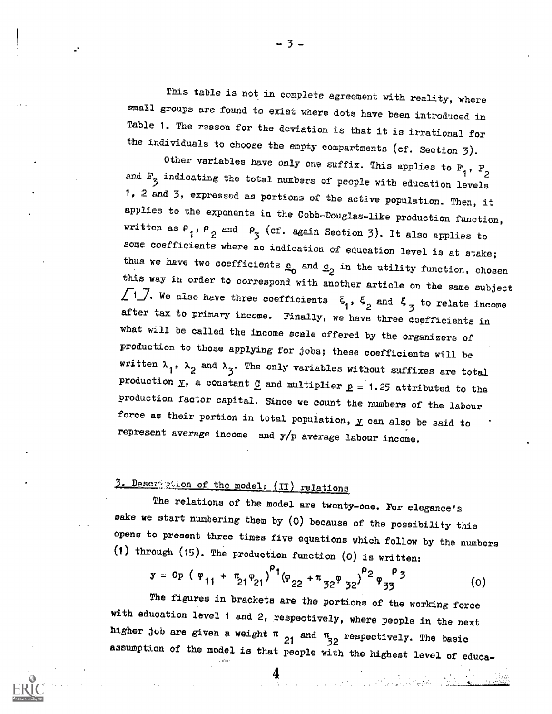This table is not in complete agreement with reality, where small groups are found to exist where dots have been introduced in Table 1. The reason for the deviation is that it is irrational for the individuals to choose the empty compartments (cf. Section 7).

Other variables have only one suffix. This applies to  $F_1$ ,  $F_2$ and  $\mathbb{F}_3$  indicating the total numbers of people with education levels 1, 2 and 3, expressed as portions of the active population. Then, i applies to the exponents in the Cobb-Douglas-like production function, written as  $P_1$ ,  $P_2$  and  $P_3$  (cf. again Section 3). It also applies to some coefficients where no indication of education level is at stake; thus we have two coefficients  $c_0$  and  $c_2$  in the utility function, chosen this way in order to correspond with another article on the same subject  $\sqrt{1}$ . We also have three coefficients  $\xi_1$ ,  $\xi_2$  and  $\xi_3$  to relate income after tax to primary income. Finally, we have three coefficients in what will be called the income scale offered by the organizers of production to those applying for jobs; these coefficients will be written  $\lambda_1$ ,  $\lambda_2$  and  $\lambda_3$ . The only variables without suffixes are total production  $\underline{v}$ , a constant  $\underline{c}$  and multiplier  $\underline{p} = 1.25$  attributed to the production factor capital. Since we count the numbers of the labour force as their portion in total population,  $\underline{v}$  can also be said to represent average income and y/p average labour income.

# 3. Description of the model: (II) relations

The relations of the model are twenty-one. For elegance's sake we start numbering them by (0) because of the possibility this opens to present three times five equations which follow by the numbers (1) through (15). The production function (0) is written:

$$
y = Cp \left( \varphi_{11} + \pi_{21} \varphi_{21} \right)^{\rho_1} \left( \varphi_{22} + \pi_{32} \varphi_{32} \right)^{\rho_2} \varphi_{33}^{\rho_3}
$$
 (0)

The figures in brackets are the portions of the working force with education level 1 and 2, respectively, where people in the next higher job are given a weight  $\pi$  and  $\pi$  respectively. The basic assumption of the model is that people with the highest level of educa-

- 3 -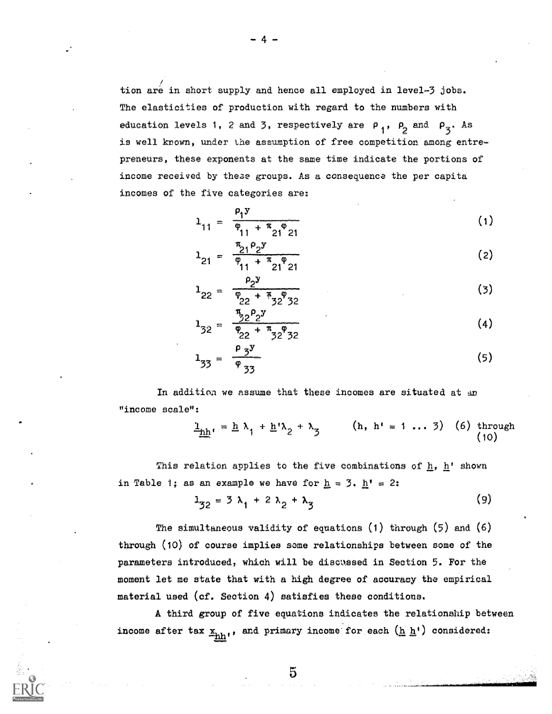tion are in short supply and hence all employed in level-3 jobs. The elasticities of production with regard to the numbers with education levels 1, 2 and 3, respectively are  $P_1$ ,  $P_2$  and  $P_3$ . As is well krown, under the assumption of free competition among entrepreneurs, these exponents at the same time indicate the portions of income received by theae groups. As a consequence the per capita incomes of the five categories are:

$$
1_{11} = \frac{\rho_1 y}{\rho_{11} + \pi_{21} \rho_{21}} \tag{1}
$$

$$
l_{21} = \frac{\pi_{21} \rho_2 y}{\rho_{11} + \pi_{21} \rho_{21}}
$$
 (2)

$$
1_{22} = \frac{\rho_2 y}{\rho_{22} + \frac{\pi}{3} \rho_{32}}
$$
 (3)

$$
1_{32} = \frac{\frac{\pi}{2} 2^p 2^y}{\frac{\varphi_{22} + \pi_{32} \varphi_{32}}{2}} \tag{4}
$$

$$
1_{33} = \frac{\rho_3 y}{\varphi_{33}}
$$
 (5)

In addition we assume that these incomes are situated at an "income scale":

$$
\underline{\mathbf{h}}_{\underline{\mathbf{h}}^*} = \underline{\mathbf{h}} \ \lambda_1 + \underline{\mathbf{h}}^* \lambda_2 + \lambda_3 \qquad (\mathbf{h}, \ \mathbf{h}^* = 1 \ \dots \ 3) \quad (6) \ \text{through} \tag{10}
$$

This relation applies to the five combinations of  $h$ ,  $h'$  shown in Table 1; as an example we have for  $\underline{h} = 3$ .  $\underline{h} = 2$ :

$$
1_{32} = 3 \lambda_1 + 2 \lambda_2 + \lambda_3 \tag{9}
$$

The simultaneous validity of equations  $(1)$  through  $(5)$  and  $(6)$ through (10) of course implies some relationships between some of the parameters introduced, which will be discussed in Section 5. For the moment let me state that with a high degree of accuracy the empirical material used (cf. Section 4) satisfies these conditions.

A third group of five equations indicates the relationship between income after tax  $\underline{x}_{hh}$ ,, and primary income for each  $(\underline{h}\ \underline{h})$  considered: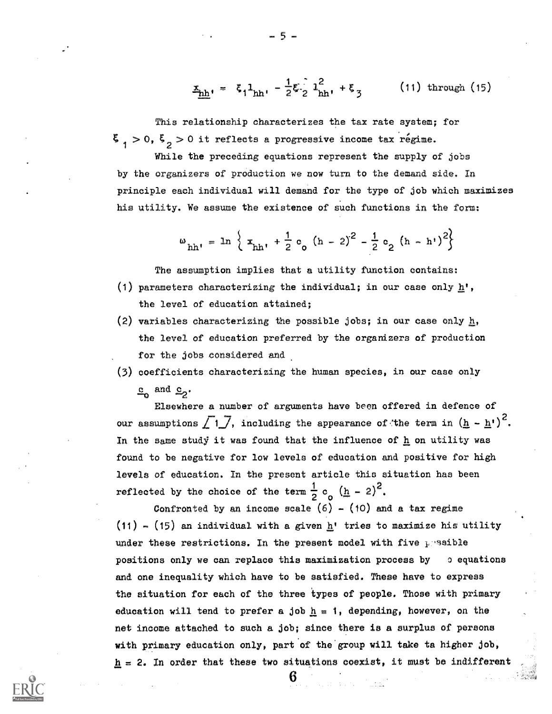$$
\underline{x}_{hh'} = \xi_1 \underline{1}_{hh'} - \frac{1}{2} \xi \frac{1}{2} \underline{1}_{hh'}^2 + \xi_3
$$
 (11) through (15)

This relationship characterizes the tax rate system; for  $>$  0,  $\xi$   $>$  0 it reflects a progressive income tax regime.

While the preceding equations represent the supply of jobs by the organizers of production we now turn to the demand side. In principle each individual will demand for the type of job which maximizes his utility. We assume the existence of such functions in the form:

$$
\omega_{hh'}
$$
 = ln  $\left\{ x_{hh'} + \frac{1}{2} c_0 (h - 2)^2 - \frac{1}{2} c_2 (h - h')^2 \right\}$ 

The assumption implies that a utility function contains:

- (1) parameters characterizing the individual; in our case only  $\underline{h}$ ', the level of education attained;
- (2) variables characterizing the possible jobs; in our case only h, the level of education preferred by the organizers of production for the jobs considered and
- (3) coefficients characterizing the human species, in our case only  $c_0$  and  $c_2$ .

Elsewhere a number of arguments have been offered in defence of our assumptions  $\left[1\right]$ , including the appearance of the term in  $\left(\underline{h} - \underline{h}^{\dagger}\right)^2$ . In the same study it was found that the influence of  $h$  on utility was found to be negative for low levels of education and positive for high levels of education. In the present article this situation has been reflected by the choice of the term  $\frac{1}{2}$  c  $(h - 2)^2$ . 2 o —

Confronted by an income scale  $(6)$  -  $(10)$  and a tax regime (11) - (15) an individual with a given  $\underline{h}$ ' tries to maximize his utility under these restrictions. In the present model with five  $p$  saible positions only we can replace this maximization process by o equations and one inequality which have to be satisfied. These have to express the situation for each of the three types of people. Those with primary education will tend to prefer a job  $h = 1$ , depending, however, on the net income attached to such a job; since there is a surplus of persons with primary education only, part of the group will take ta higher job,  ${\tt h}$  = 2. In order that these two situations coexist, it must be indifferent  $\color{black}$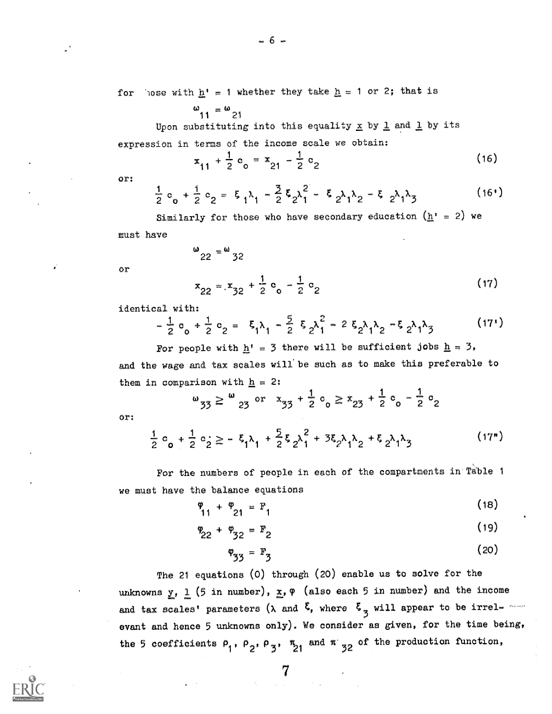$- 6 -$ 

for 'lose with  $\underline{h}^* = 1$  whether they take  $\underline{h} = 1$  or 2; that is

$$
\omega_{11}=\omega_{21}
$$

Upon substituting into this equality  $\underline{x}$  by  $\underline{1}$  and  $\underline{1}$  by its expression in terms of the income scale we obtain:

> $x_{11} + \frac{1}{2}c_0 = x_{21} - \frac{1}{2}c_2$  $(16)$

or:

$$
\frac{1}{2} c_0 + \frac{1}{2} c_2 = \xi_1 \lambda_1 - \frac{3}{2} \xi_2 \lambda_1^2 - \xi_2 \lambda_1 \lambda_2 - \xi_2 \lambda_1 \lambda_3
$$
 (16')

Similarly for those who have secondary education  $(\underline{h}^{\dagger} = 2)$  we must have

$$
\omega_{22} = \omega_{32}
$$
  
or  

$$
x_{22} = x_{32} + \frac{1}{2}c_0 - \frac{1}{2}c_2
$$
 (17)

identical with:

$$
-\frac{1}{2}c_0 + \frac{1}{2}c_2 = \xi_1\lambda_1 - \frac{5}{2}\xi_2\lambda_1^2 - 2\xi_2\lambda_1\lambda_2 - \xi_2\lambda_1\lambda_3
$$
 (17')

For people with  $h' = 3$  there will be sufficient jobs  $h = 3$ , and the wage and tax scales will be such as to make this preferable to them in comparison with  $\underline{h} = 2$ :

$$
\omega_{33} \ge \omega_{23}
$$
 or  $x_{33} + \frac{1}{2}c_0 \ge x_{23} + \frac{1}{2}c_0 - \frac{1}{2}c_2$ 

or:

$$
\frac{1}{2}c_{0} + \frac{1}{2}c_{2} \ge -\xi_{1}\lambda_{1} + \frac{5}{2}\xi_{2}\lambda_{1}^{2} + 3\xi_{2}\lambda_{1}\lambda_{2} + \xi_{2}\lambda_{1}\lambda_{3}
$$
 (17")

For the numbers of people in each of the compartments in Table 1 we must have the balance equations

$$
\frac{\varphi}{11} + \frac{\varphi}{21} = F_1 \tag{18}
$$

$$
P_{22} + P_{32} = F_2 \tag{19}
$$

$$
\varphi_{33} = \mathbf{F}_3 \tag{20}
$$

The 21 equations (0) through (20) enable us to solve for the unknowns y, 1 (5 in number),  $\underline{x}$ ,  $\varphi$  (also each 5 in number) and the income and tax scales' parameters ( $\lambda$  and  $\zeta$ , where  $\zeta$  will appear to be irrel-  $\sim$ evant and hence 5 unknowns only). We consider as given, for the time being, the 5 coefficients  $\rho_1$ ,  $\rho_2$ ,  $\rho_3$ ,  $\pi_{21}$  and  $\pi_{132}$  of the production function,

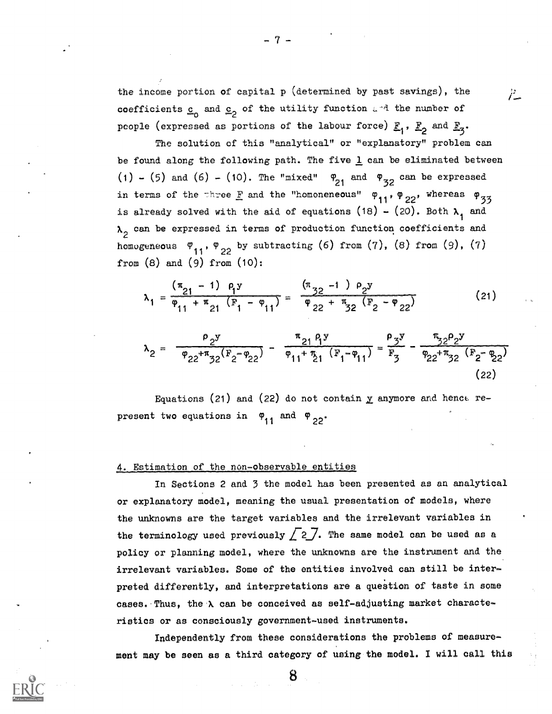the income portion of capital p (determined by past savings), the  $\mu$ coefficients  $\underline{c}_0$  and  $\underline{c}_2$  of the utility function  $L^{-1}$  the number of people (expressed as portions of the labour force)  $\underline{\mathbb{F}}_1$ ,  $\underline{\mathbb{F}}_2$  and  $\underline{\mathbb{F}}_3.$ 

The solution of this "analytical" or "explanatory" problem can be found along the following path. The five  $1$  can be eliminated between (1) - (5) and (6) - (10). The "mixed"  $\frac{\varphi_{21}}{21}$  and  $\frac{\varphi_{32}}{22}$  can be expressed in terms of the three  $\underline{\mathrm{F}}$  and the "homoneneous"  $\phi_{11}$ ,  $\phi_{22}$ , whereas  $\phi_{33}$ is already solved with the aid of equations (18) - (20). Both  $\lambda_{\frac{1}{2}}$  and  $\lambda_{2}^{}$  can be expressed in terms of production function coefficients and homogeneous  $\varphi_{11}$ ,  $\varphi_{22}$  by subtracting (6) from (7), (8) from (9), (7) from  $(8)$  and  $(9)$  from  $(10)$ :

$$
\lambda_1 = \frac{(\pi_{21} - 1) \rho_1 y}{\rho_{11} + \pi_{21} (\mathbf{F}_1 - \rho_{11})} = \frac{(\pi_{32} - 1) \rho_2 y}{\rho_{22} + \pi_{32} (\mathbf{F}_2 - \rho_{22})}
$$
 (21)

$$
\lambda_2 = \frac{\rho_2 y}{\varphi_{22} + \pi_{32} (F_2 - \varphi_{22})} - \frac{\pi_{21} \rho_1 y}{\varphi_{11} + \pi_{21} (F_1 - \varphi_{11})} = \frac{\rho_3 y}{F_3} - \frac{\pi_{32} \rho_2 y}{\varphi_{22} + \pi_{32} (F_2 - \varphi_{22})}
$$
(22)

Equations (21) and (22) do not contain  $\underline{y}$  anymore and hence represent two equations in  $\varphi_{11}$  and  $\varphi_{22}$ .

## 4. Estimation of the non-observable entities

In Sections 2 and 3 the model has been presented as an analytical or explanatory model, meaning the usual presentation of models, where the unknowns are the target variables and the irrelevant variables in the terminology used previously  $\sqrt{2}$ . The same model can be used as a policy or planning model, where the unknowns are the instrument and the irrelevant variables. Some of the entities involved can still be interpreted differently, and interpretations are a question of taste in some cases. Thus, the  $\lambda$  can be conceived as self-adjusting market characteristics or as consciously government-used instruments

Independently from these considerations the problems of measurement may be seen as a third category of using the model. I will call this

8

 $-7-$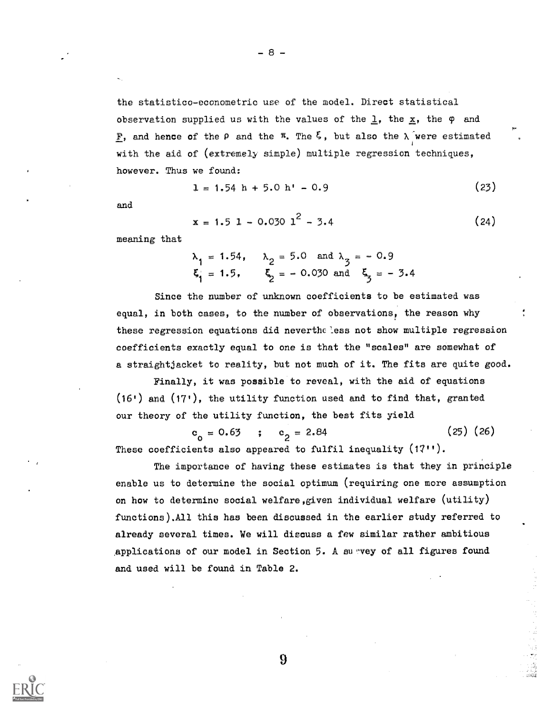the statistico-econometric use of the model. Direct statistical observation supplied us with the values of the  $\underline{\mathbf{1}}$ , the  $\underline{\mathbf{x}}$ , the  $\phi$  and **F**, and hence of the  $\rho$  and the  $\pi$ . The  $\xi$ , but also the  $\lambda$  were estimated 1 with the aid of  $(extremely simple)$  multiple regression techniques, however. Thus we found:

$$
1 = 1.54 \text{ h} + 5.0 \text{ h}^{\dagger} - 0.9 \tag{23}
$$

and

$$
x = 1.5 1 - 0.030 12 - 3.4
$$
 (24)

meaning that

$$
\lambda_1 = 1.54
$$
,  $\lambda_2 = 5.0$  and  $\lambda_3 = -0.9$   
\n $\xi_1 = 1.5$ ,  $\xi_2 = -0.030$  and  $\xi_3 = -3.4$ 

Since the number of unknown coefficients to be estimated was equal, in both cases, to the number of observations, the reason why these regression equations did nevertheless not show multiple regression coefficients exactly equal to one is that the "scales" are somewhat of a straightjacket to reality, but not much of it. The fits are quite good.

Finally, it was possible to reveal, with the aid of equations  $(16)$  and  $(17)$ , the utility function used and to find that, granted our theory of the utility function, the best fits yield

 $c_o = 0.63$  ;  $c_2 = 2.84$  $(25)$   $(26)$ These coefficients also appeared to fulfil inequality  $(17)$ '.

The importance of having these estimates is that they in principle enable us to determine the social optimum (requiring one more assumption on how to determine social welfare,given individual welfare (utility) functions). All this has been discussed in the earlier study referred to already several times. We will discuss a few similar rather ambitious applications of our model in Section 5. A survey of all figures found and used will be found in Table 2.

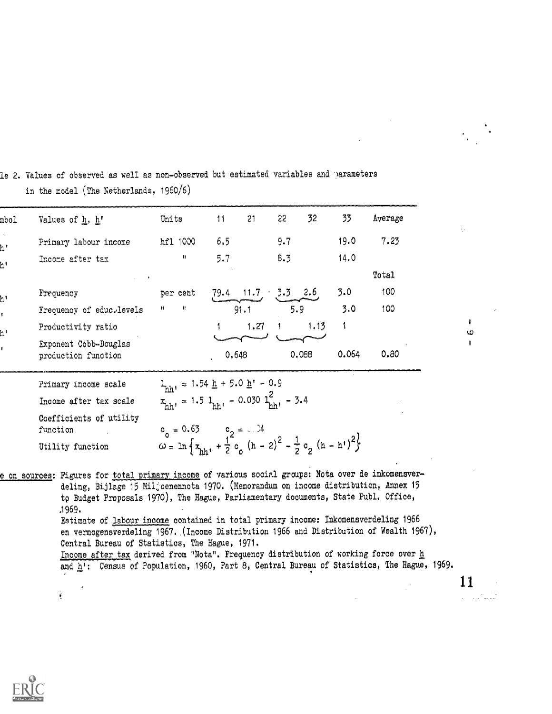| mbol | Values of h, h'                              | Units                                                                                                                                                                                                                                  | 11    | 21                 | 22  | 32    | 33    | Average |
|------|----------------------------------------------|----------------------------------------------------------------------------------------------------------------------------------------------------------------------------------------------------------------------------------------|-------|--------------------|-----|-------|-------|---------|
| h'   | Primary labour income                        | hf1 1000                                                                                                                                                                                                                               | 6.5   |                    | 9.7 |       | 19.0  | 7.23    |
| h!   | Income after tax                             | $^{\dagger}$                                                                                                                                                                                                                           | 5.7   |                    | 8.3 |       | 14.0  |         |
|      |                                              |                                                                                                                                                                                                                                        |       |                    |     |       |       | Total   |
| h١   | Frequency                                    | per cent                                                                                                                                                                                                                               | 79.4  | $11.7 \t3.5 \t2.6$ |     |       | 3.0   | 100     |
|      | Frequency of educ.levels                     | Ħ<br>Ħ                                                                                                                                                                                                                                 |       | 91.1               |     | 5.9   | 3.0   | 100     |
| h١   | Productivity ratio                           |                                                                                                                                                                                                                                        |       | 1.27               |     | 1.13  | 1     |         |
|      | Exponent Cobb-Douglas<br>production function |                                                                                                                                                                                                                                        | 0.648 |                    |     | 0.088 | 0.064 | 0.80    |
|      | Primary income scale                         |                                                                                                                                                                                                                                        |       |                    |     |       |       |         |
|      | Income after tax scale                       | $\begin{split} \mathbf{1}_{\text{hh}^1} &= 1.54 \; \underline{\text{h}} + 5.0 \; \underline{\text{h}}^1 - 0.9 \\ x_{\text{hh}^1} &= 1.5 \; \mathbf{1}_{\text{hh}^1} - 0.030 \; \underline{\text{h}}^2_{\text{hh}^1} - 3.4 \end{split}$ |       |                    |     |       |       |         |
|      | Coefficients of utility<br>function          |                                                                                                                                                                                                                                        |       |                    |     |       |       |         |
|      | Utility function                             | $c_0 = 0.63$<br>$\omega = \ln \left\{ x_{hh^1} + \frac{1}{2} c_0 (h - 2)^2 - \frac{1}{2} c_2 (h - h^1)^2 \right\}$                                                                                                                     |       |                    |     |       |       |         |

le 2. Values of observed as well as non-observed but estimated variables and parameters in the model (The Netherlands, 1960/6)

e on sources: Figures for total primary income of various social groups: Nota over de inkomensverdeling, Bijlage 15 Miljoenennota 1970. (Memorandum on income distribution, Annex 15 to Budget Proposals 1970), The Hague, Parliamentary documents, State Publ. Office, .1969. Estimate of labour income contained in total primary income: Inkomensverdeling 1966 en vermogensverdeling 1967. (Income Distribution 1966 and Distribution of Wealth 1967), Central Bureau of Statistics, The Hague, 1971. Income after tax derived from "Nota". Frequency distribution of working force over h and h': Census of Population, 1960, Part 8, Central Bureau of Statistics, The Hague, 1969.



ŧ

11

f. O  $\mathbf{I}$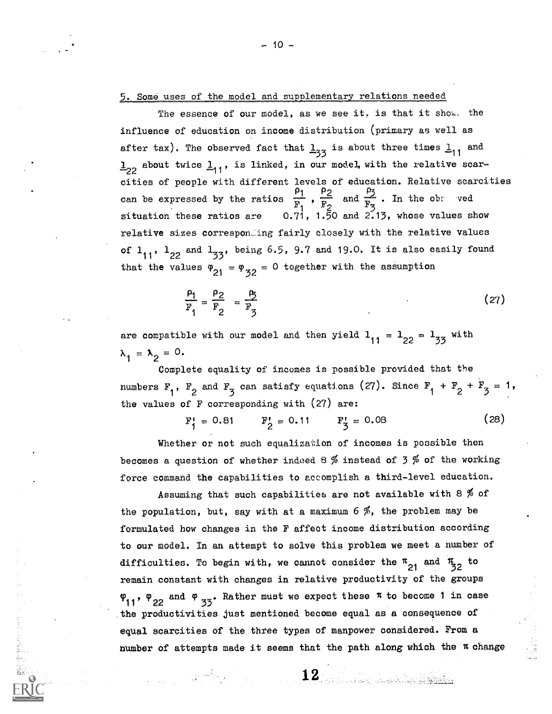#### 5. Some uses of the model and supplementary relations needed

The essence of our model, as we see it, is that it show. the influence of education on income distribution (primary as well as after tax). The observed fact that  $\frac{1}{3}$  is about three times  $\frac{1}{11}$  and  $\frac{1}{2}$  about twice  $\frac{1}{11}$ , is linked, in our model, with the relative scarcities of people with different levels of education. Relative scarcities<br>can be expressed by the ratios  $\frac{\rho_1}{F_1}$ ,  $\frac{\rho_2}{F_2}$  and  $\frac{\rho_3}{F_3}$ . In the obt ved<br>situation these ratios are 0.71, 1.50 and 2.13, whose relative sizes corresponding fairly closely with the relative values of  $1_{11}$ ,  $1_{22}$  and  $1_{33}$ , being 6.5, 9.7 and 19.0. It is also easily found that the values  $\varphi_{21} = \varphi_{32} = 0$  together with the assumption

$$
\frac{\rho_1}{F_1} = \frac{\rho_2}{F_2} = \frac{\rho_5}{F_3}
$$
 (27)

are compatible with our model and then yield  $1_{11} = 1_{22} = 1_{33}$  with  $\lambda_1 = \lambda_2 = 0.$ 

Complete equality of incomes is possible provided that the numbers  $F_1$ ,  $F_2$  and  $F_3$  can satisfy equations (27). Since  $F_1 + F_2 + F_3 = 1$ , the values of  $F$  corresponding with  $(27)$  are:

> $F_1^t = 0.81$   $F_2^t = 0.11$   $F_3^t = 0.08$  $(28)$

Whether or not such equalization of incomes is possible then becomes a question of whether indeed 8 % instead of 3 % of the working force command the capabilities to accomplish a third-level education.

Assuming that such capabilities are not available with 8  $%$  of the population, but, say with at a maximum 6 %, the problem may be formulated how changes in the F affect income distribution according to our model. In an attempt to solve this problem we meet a number of difficulties. To begin with, we cannot consider the  $\pi_{21}$  and  $\pi_{32}$  to remain constant with changes in relative productivity of the groups  $\varphi_{11}$ ,  $\varphi_{22}$  and  $\varphi_{35}$ . Rather must we expect these  $\pi$  to become 1 in case the productivities just mentioned become equal as a consequence of equal scarcities of the three types of manpower considered. From a number of attempts made it seems that the path along which the  $\pi$  change

1990年,1990年,1990年,1990年,1990年,1990年,1990年,1990年,1990年,1990年,1990年,1990年,1990年,1990年,1990年,1990年,1990

 $\mathbf{12}_{\mathbb{Z}_2}$  ,  $\mathbf{12}_{\mathbb{Z}_2}$  ,  $\mathbb{Z}_2$  ,  $\mathbb{Z}_2$  ,  $\mathbb{Z}_2$  ,  $\mathbb{Z}_2$  ,  $\mathbb{Z}_2$  ,  $\mathbb{Z}_2$  ,  $\mathbb{Z}_2$  ,  $\mathbb{Z}_2$  ,  $\mathbb{Z}_2$  ,  $\mathbb{Z}_2$  ,  $\mathbb{Z}_2$  ,  $\mathbb{Z}_2$  ,  $\mathbb{Z}_2$  ,  $\mathbb{Z}_2$  ,  $\mathbb{Z}_2$  ,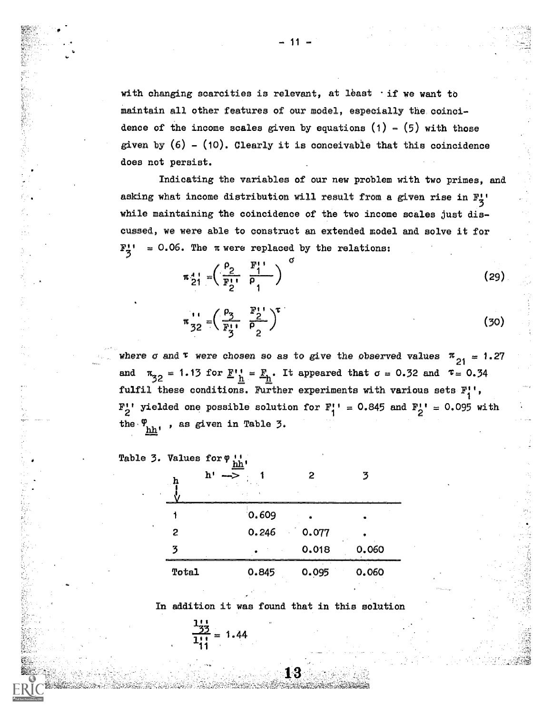with changing scarcities is relevant, at least  $\cdot$  if we want to maintain all other features of our model, especially the coincidence of the income scales given by equations  $(1)$  -  $(5)$  with those given by  $(6)$  -  $(10)$ . Clearly it is conceivable that this coincidence does not persist.

Indicating the variables of our new problem with two prime asking what income distribution will result from a given rise in  $F_7^+$ 3 while maintaining the coincidence of the two income scales just discussed, we were able to construct an extended model and solve it for  $F_1' = 0.06$ . The  $\pi$  were replaced by the relations:

$$
\mathbf{r}_{21}^4 = \left(\frac{\rho_2}{\mathbf{F}_2^4}, \frac{\mathbf{F}_1^4}{\rho_1}\right)^{\sigma} \tag{29}
$$

$$
\pi_{32}^{11} = \left(\frac{\rho_3}{F_3^{11}} - \frac{F_2^{11}}{\rho_2}\right)^T
$$
 (30)

where  $\sigma$  and  $\tau$  were chosen so as to give the observed values  $\frac{\pi}{21}$  = 1.27  $\pi_{32}$  = 1.13 for  $\underline{F}_{h}$  =  $\underline{F}_{h}$ . It appeared that  $\sigma = 0.32$  and  $\tau = 0.34$ fulfil these conditions. Further experiments with various sets  $F_4'$ , 1  $\mathbb{F}_2^{\bullet \bullet}$  yielded one possible solution for  $\mathbb{F}_1^{\bullet \bullet} = 0.845$  and  $\mathbb{F}_2^{\bullet \bullet} = 0.095$  with the  $\varphi_{hh}$ , as given in Table 3.

|  | Table 3. Values for 9 th. |
|--|---------------------------|
|  | h' -> .                   |

「魏国の新鮮教育教育講演講教育教育」ということが、「インティーナー」ということに対し、「大学の研究大学教育学研究」ということに、

医皮肤炎 医前列腺 的复数人名英格兰人姓氏

この「大きさ」ということに、「大きさ」という意味を持って、「まず、その意味を見ることになっているのです。 こうしん かいしょう しょうかん しゅうしょう はんしゅう しょうだい はんばん

| h١<br>h |       | 2                | z     |
|---------|-------|------------------|-------|
|         | 0.609 |                  |       |
| 2       | 0.246 | $^{\circ}$ 0.077 |       |
| 3       |       | 0.018            | 0.060 |
| Total   | 0.845 | 0.095            | 0.060 |

In addition it was found that in this solution

$$
\frac{\frac{1}{32}}{111} = 1.44
$$